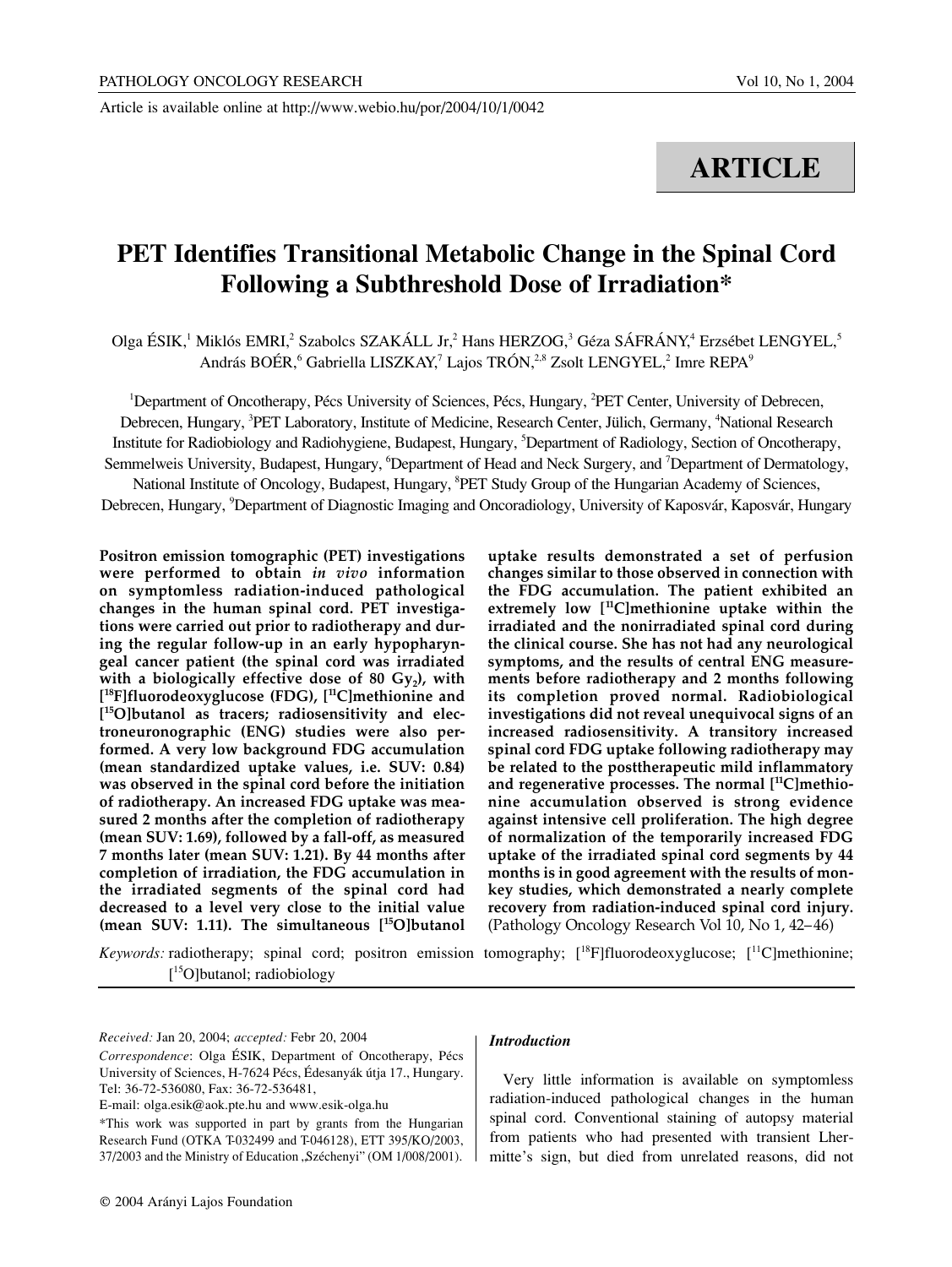Article is available online at http://www.webio.hu/por/2004/10/1/0042

# **ARTICLE**

# **PET Identifies Transitional Metabolic Change in the Spinal Cord Following a Subthreshold Dose of Irradiation\***

Olga ÉSIK,<sup>1</sup> Miklós EMRI,<sup>2</sup> Szabolcs SZAKÁLL Jr,<sup>2</sup> Hans HERZOG,<sup>3</sup> Géza SÁFRÁNY,<sup>4</sup> Erzsébet LENGYEL,<sup>5</sup> András BOÉR, <sup>6</sup> Gabriella LISZKAY,<sup>7</sup> Lajos TRÓN,<sup>2,8</sup> Zsolt LENGYEL,<sup>2</sup> Imre REPA<sup>9</sup>

<sup>1</sup>Department of Oncotherapy, Pécs University of Sciences, Pécs, Hungary, <sup>2</sup>PET Center, University of Debrecen, Debrecen, Hungary, <sup>3</sup>PET Laboratory, Institute of Medicine, Research Center, Jülich, Germany, <sup>4</sup>National Research Institute for Radiobiology and Radiohygiene, Budapest, Hungary, <sup>5</sup>Department of Radiology, Section of Oncotherapy, Semmelweis University, Budapest, Hungary, <sup>6</sup>Department of Head and Neck Surgery, and <sup>7</sup>Department of Dermatology, National Institute of Oncology, Budapest, Hungary, <sup>8</sup>PET Study Group of the Hungarian Academy of Sciences,

Debrecen, Hungary, <sup>9</sup>Department of Diagnostic Imaging and Oncoradiology, University of Kaposvár, Kaposvár, Hungary

**Positron emission tomographic (PET) investigations were performed to obtain** *in vivo* **information on symptomless radiation-induced pathological changes in the human spinal cord. PET investigations were carried out prior to radiotherapy and during the regular follow-up in an early hypopharyngeal cancer patient (the spinal cord was irradiated with a biologically effective dose of 80 Gy<sup>2</sup> ), with [ <sup>18</sup>F]fluorodeoxyglucose (FDG), [ <sup>11</sup>C]methionine and [ <sup>15</sup>O]butanol as tracers; radiosensitivity and electroneuronographic (ENG) studies were also performed. A very low background FDG accumulation (mean standardized uptake values, i.e. SUV: 0.84) was observed in the spinal cord before the initiation of radiotherapy. An increased FDG uptake was measured 2 months after the completion of radiotherapy (mean SUV: 1.69), followed by a fall-off, as measured 7 months later (mean SUV: 1.21). By 44 months after completion of irradiation, the FDG accumulation in the irradiated segments of the spinal cord had decreased to a level very close to the initial value (mean SUV: 1.11). The simultaneous [ <sup>15</sup>O]butanol**

**uptake results demonstrated a set of perfusion changes similar to those observed in connection with the FDG accumulation. The patient exhibited an extremely low [ <sup>11</sup>C]methionine uptake within the irradiated and the nonirradiated spinal cord during the clinical course. She has not had any neurological symptoms, and the results of central ENG measurements before radiotherapy and 2 months following its completion proved normal. Radiobiological investigations did not reveal unequivocal signs of an increased radiosensitivity. A transitory increased spinal cord FDG uptake following radiotherapy may be related to the posttherapeutic mild inflammatory and regenerative processes. The normal [ <sup>11</sup>C]methionine accumulation observed is strong evidence against intensive cell proliferation. The high degree of normalization of the temporarily increased FDG uptake of the irradiated spinal cord segments by 44 months is in good agreement with the results of monkey studies, which demonstrated a nearly complete recovery from radiation-induced spinal cord injury.** (Pathology Oncology Research Vol 10, No 1, 42–46)

Keywords: radiotherapy; spinal cord; positron emission tomography; [<sup>18</sup>F]fluorodeoxyglucose; [<sup>11</sup>C]methionine; [ 15O]butanol; radiobiology

*Received:* Jan 20, 2004; *accepted:* Febr 20, 2004

#### *Introduction*

Very little information is available on symptomless radiation-induced pathological changes in the human spinal cord. Conventional staining of autopsy material from patients who had presented with transient Lhermitte's sign, but died from unrelated reasons, did not

*Correspondence*: Olga ÉSIK, Department of Oncotherapy, Pécs University of Sciences, H-7624 Pécs, Édesanyák útja 17., Hungary. Tel: 36-72-536080, Fax: 36-72-536481,

E-mail: olga.esik@aok.pte.hu and www.esik-olga.hu

<sup>\*</sup>This work was supported in part by grants from the Hungarian Research Fund (OTKA T-032499 and T-046128), ETT 395/KO/2003, 37/2003 and the Ministry of Education "Széchenyi" (OM 1/008/2001).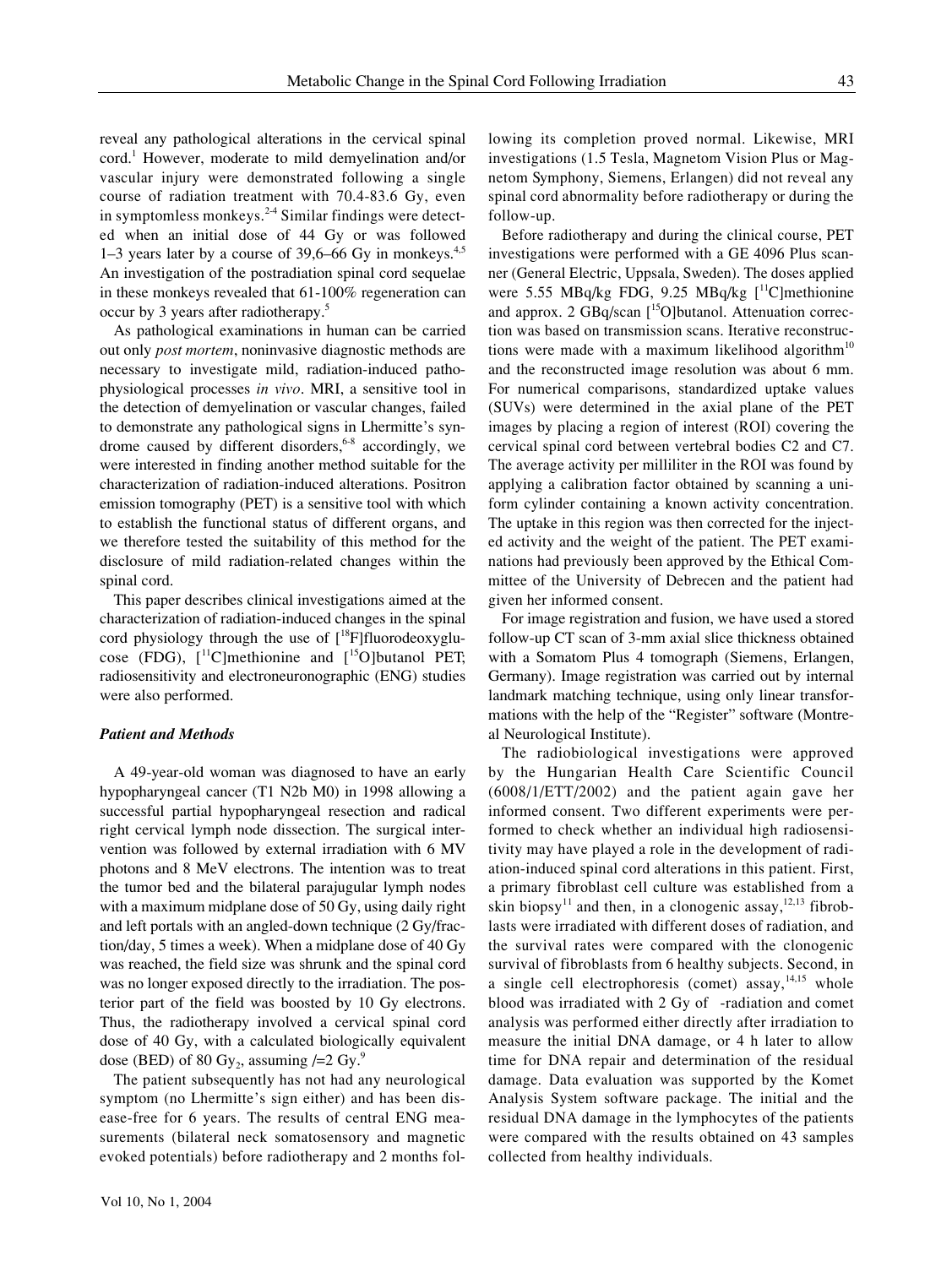reveal any pathological alterations in the cervical spinal cord. <sup>1</sup> However, moderate to mild demyelination and/or vascular injury were demonstrated following a single course of radiation treatment with 70.4-83.6 Gy, even in symptomless monkeys. 2-4 Similar findings were detected when an initial dose of 44 Gy or was followed 1–3 years later by a course of 39,6–66 Gy in monkeys. 4,5 An investigation of the postradiation spinal cord sequelae in these monkeys revealed that 61-100% regeneration can occur by 3 years after radiotherapy. 5

As pathological examinations in human can be carried out only *post mortem*, noninvasive diagnostic methods are necessary to investigate mild, radiation-induced pathophysiological processes *in vivo*. MRI, a sensitive tool in the detection of demyelination or vascular changes, failed to demonstrate any pathological signs in Lhermitte's syndrome caused by different disorders, <sup>6-8</sup> accordingly, we were interested in finding another method suitable for the characterization of radiation-induced alterations. Positron emission tomography (PET) is a sensitive tool with which to establish the functional status of different organs, and we therefore tested the suitability of this method for the disclosure of mild radiation-related changes within the spinal cord.

This paper describes clinical investigations aimed at the characterization of radiation-induced changes in the spinal cord physiology through the use of [<sup>18</sup>F]fluorodeoxyglucose (FDG),  $[$ <sup>11</sup>C]methionine and  $[$ <sup>15</sup>O]butanol PET; radiosensitivity and electroneuronographic (ENG) studies were also performed.

### *Patient and Methods*

A 49-year-old woman was diagnosed to have an early hypopharyngeal cancer (T1 N2b M0) in 1998 allowing a successful partial hypopharyngeal resection and radical right cervical lymph node dissection. The surgical intervention was followed by external irradiation with 6 MV photons and 8 MeV electrons. The intention was to treat the tumor bed and the bilateral parajugular lymph nodes with a maximum midplane dose of 50 Gy, using daily right and left portals with an angled-down technique (2 Gy/fraction/day, 5 times a week). When a midplane dose of 40 Gy was reached, the field size was shrunk and the spinal cord was no longer exposed directly to the irradiation. The posterior part of the field was boosted by 10 Gy electrons. Thus, the radiotherapy involved a cervical spinal cord dose of 40 Gy, with a calculated biologically equivalent dose (BED) of 80 Gy<sub>2</sub>, assuming  $/=2$  Gy.<sup>9</sup>

The patient subsequently has not had any neurological symptom (no Lhermitte's sign either) and has been disease-free for 6 years. The results of central ENG measurements (bilateral neck somatosensory and magnetic evoked potentials) before radiotherapy and 2 months following its completion proved normal. Likewise, MRI investigations (1.5 Tesla, Magnetom Vision Plus or Magnetom Symphony, Siemens, Erlangen) did not reveal any spinal cord abnormality before radiotherapy or during the follow-up.

Before radiotherapy and during the clinical course, PET investigations were performed with a GE 4096 Plus scanner (General Electric, Uppsala, Sweden). The doses applied were 5.55 MBq/kg FDG, 9.25 MBq/kg [ <sup>11</sup>C]methionine and approx. 2 GBq/scan [<sup>15</sup>O]butanol. Attenuation correction was based on transmission scans. Iterative reconstructions were made with a maximum likelihood algorithm<sup>10</sup> and the reconstructed image resolution was about 6 mm. For numerical comparisons, standardized uptake values (SUVs) were determined in the axial plane of the PET images by placing a region of interest (ROI) covering the cervical spinal cord between vertebral bodies C2 and C7. The average activity per milliliter in the ROI was found by applying a calibration factor obtained by scanning a uniform cylinder containing a known activity concentration. The uptake in this region was then corrected for the injected activity and the weight of the patient. The PET examinations had previously been approved by the Ethical Committee of the University of Debrecen and the patient had given her informed consent.

For image registration and fusion, we have used a stored follow-up CT scan of 3-mm axial slice thickness obtained with a Somatom Plus 4 tomograph (Siemens, Erlangen, Germany). Image registration was carried out by internal landmark matching technique, using only linear transformations with the help of the "Register" software (Montreal Neurological Institute).

The radiobiological investigations were approved by the Hungarian Health Care Scientific Council (6008/1/ETT/2002) and the patient again gave her informed consent. Two different experiments were performed to check whether an individual high radiosensitivity may have played a role in the development of radiation-induced spinal cord alterations in this patient. First, a primary fibroblast cell culture was established from a skin biopsy<sup>11</sup> and then, in a clonogenic assay,<sup>12,13</sup> fibroblasts were irradiated with different doses of radiation, and the survival rates were compared with the clonogenic survival of fibroblasts from 6 healthy subjects. Second, in a single cell electrophoresis (comet) assay, <sup>14,15</sup> whole blood was irradiated with 2 Gy of -radiation and comet analysis was performed either directly after irradiation to measure the initial DNA damage, or 4 h later to allow time for DNA repair and determination of the residual damage. Data evaluation was supported by the Komet Analysis System software package. The initial and the residual DNA damage in the lymphocytes of the patients were compared with the results obtained on 43 samples collected from healthy individuals.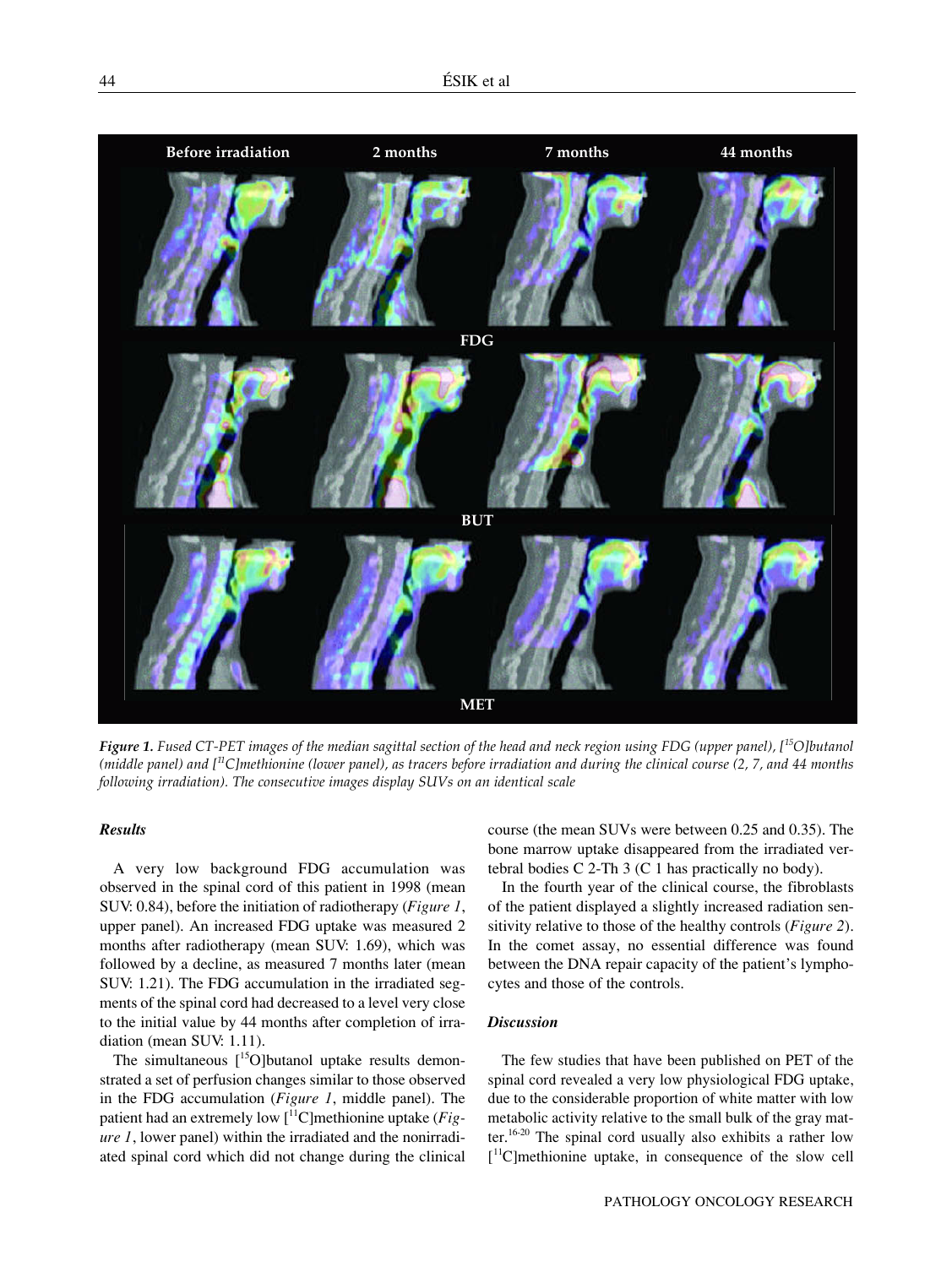

*Figure 1. Fused CT-PET images of the median sagittal section of the head and neck region using FDG (upper panel), [ <sup>15</sup>O]butanol (middle panel) and [ <sup>11</sup>C]methionine (lower panel), as tracers before irradiation and during the clinical course (2, 7, and 44 months following irradiation). The consecutive images display SUVs on an identical scale*

### *Results*

A very low background FDG accumulation was observed in the spinal cord of this patient in 1998 (mean SUV: 0.84), before the initiation of radiotherapy (*Figure 1*, upper panel). An increased FDG uptake was measured 2 months after radiotherapy (mean SUV: 1.69), which was followed by a decline, as measured 7 months later (mean SUV: 1.21). The FDG accumulation in the irradiated segments of the spinal cord had decreased to a level very close to the initial value by 44 months after completion of irradiation (mean SUV: 1.11).

The simultaneous  $[$ <sup>15</sup>O]butanol uptake results demonstrated a set of perfusion changes similar to those observed in the FDG accumulation (*Figure 1*, middle panel). The patient had an extremely low [ <sup>11</sup>C]methionine uptake (*Figure 1*, lower panel) within the irradiated and the nonirradiated spinal cord which did not change during the clinical course (the mean SUVs were between 0.25 and 0.35). The bone marrow uptake disappeared from the irradiated vertebral bodies C 2-Th 3 (C 1 has practically no body).

In the fourth year of the clinical course, the fibroblasts of the patient displayed a slightly increased radiation sensitivity relative to those of the healthy controls (*Figure 2*). In the comet assay, no essential difference was found between the DNA repair capacity of the patient's lymphocytes and those of the controls.

## *Discussion*

The few studies that have been published on PET of the spinal cord revealed a very low physiological FDG uptake, due to the considerable proportion of white matter with low metabolic activity relative to the small bulk of the gray matter.<sup>16-20</sup> The spinal cord usually also exhibits a rather low [ <sup>11</sup>C]methionine uptake, in consequence of the slow cell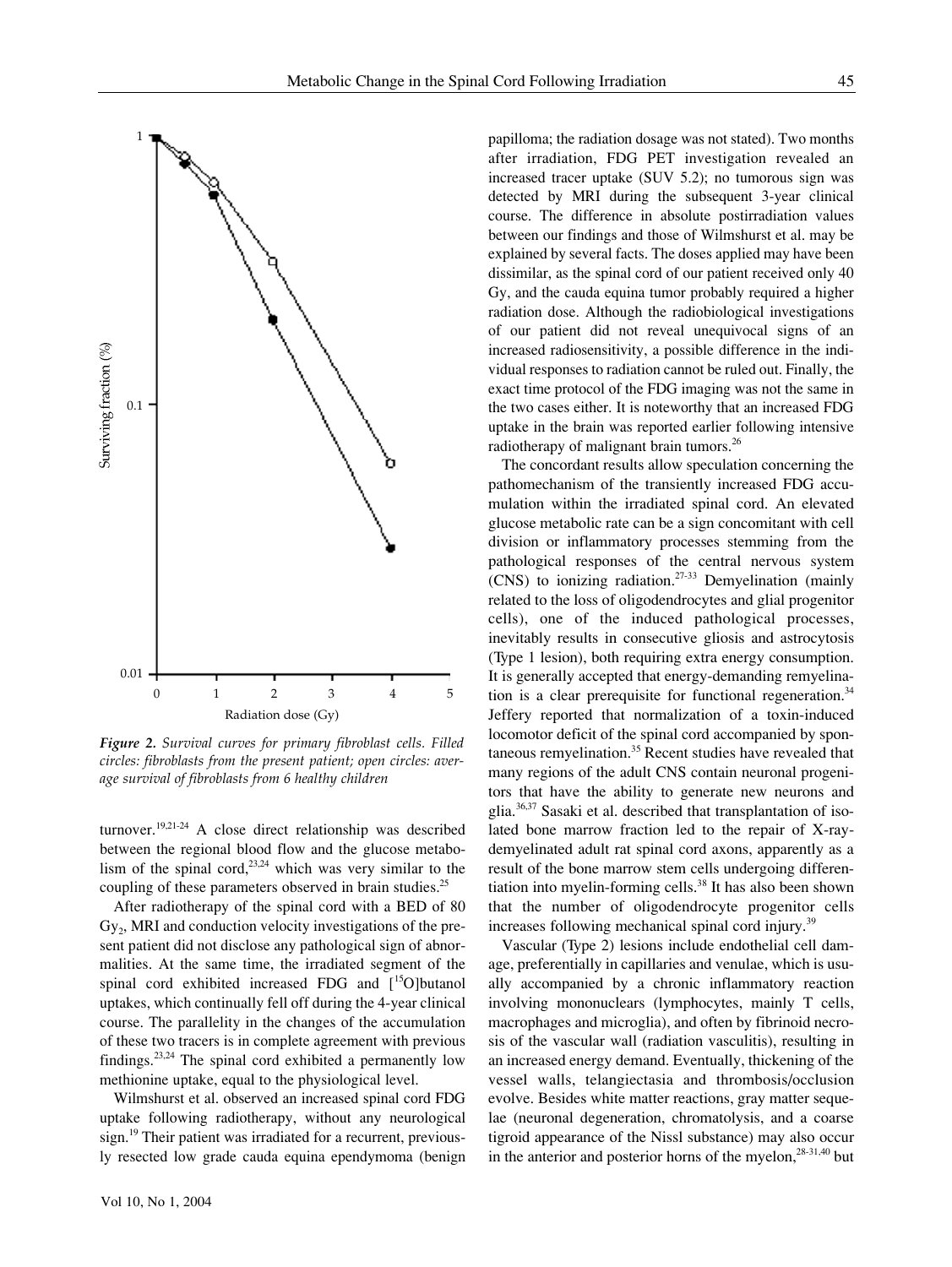

*Figure 2. Survival curves for primary fibroblast cells. Filled circles: fibroblasts from the present patient; open circles: average survival of fibroblasts from 6 healthy children*

turnover. 19,21-24 A close direct relationship was described between the regional blood flow and the glucose metabolism of the spinal cord, $2^{3,24}$  which was very similar to the coupling of these parameters observed in brain studies.<sup>25</sup>

After radiotherapy of the spinal cord with a BED of 80  $Gy_2$ , MRI and conduction velocity investigations of the present patient did not disclose any pathological sign of abnormalities. At the same time, the irradiated segment of the spinal cord exhibited increased FDG and [<sup>15</sup>O]butanol uptakes, which continually fell off during the 4-year clinical course. The parallelity in the changes of the accumulation of these two tracers is in complete agreement with previous findings.<sup>23,24</sup> The spinal cord exhibited a permanently low methionine uptake, equal to the physiological level.

Wilmshurst et al. observed an increased spinal cord FDG uptake following radiotherapy, without any neurological sign.<sup>19</sup> Their patient was irradiated for a recurrent, previously resected low grade cauda equina ependymoma (benign papilloma; the radiation dosage was not stated). Two months after irradiation, FDG PET investigation revealed an increased tracer uptake (SUV 5.2); no tumorous sign was detected by MRI during the subsequent 3-year clinical course. The difference in absolute postirradiation values between our findings and those of Wilmshurst et al. may be explained by several facts. The doses applied may have been dissimilar, as the spinal cord of our patient received only 40 Gy, and the cauda equina tumor probably required a higher radiation dose. Although the radiobiological investigations of our patient did not reveal unequivocal signs of an increased radiosensitivity, a possible difference in the individual responses to radiation cannot be ruled out. Finally, the exact time protocol of the FDG imaging was not the same in the two cases either. It is noteworthy that an increased FDG uptake in the brain was reported earlier following intensive radiotherapy of malignant brain tumors.<sup>26</sup>

The concordant results allow speculation concerning the pathomechanism of the transiently increased FDG accumulation within the irradiated spinal cord. An elevated glucose metabolic rate can be a sign concomitant with cell division or inflammatory processes stemming from the pathological responses of the central nervous system (CNS) to ionizing radiation. 27-33 Demyelination (mainly related to the loss of oligodendrocytes and glial progenitor cells), one of the induced pathological processes, inevitably results in consecutive gliosis and astrocytosis (Type 1 lesion), both requiring extra energy consumption. It is generally accepted that energy-demanding remyelination is a clear prerequisite for functional regeneration.<sup>34</sup> Jeffery reported that normalization of a toxin-induced locomotor deficit of the spinal cord accompanied by spontaneous remyelination. <sup>35</sup> Recent studies have revealed that many regions of the adult CNS contain neuronal progenitors that have the ability to generate new neurons and glia. 36,37 Sasaki et al. described that transplantation of isolated bone marrow fraction led to the repair of X-raydemyelinated adult rat spinal cord axons, apparently as a result of the bone marrow stem cells undergoing differentiation into myelin-forming cells. 38 It has also been shown that the number of oligodendrocyte progenitor cells increases following mechanical spinal cord injury. 39

Vascular (Type 2) lesions include endothelial cell damage, preferentially in capillaries and venulae, which is usually accompanied by a chronic inflammatory reaction involving mononuclears (lymphocytes, mainly T cells, macrophages and microglia), and often by fibrinoid necrosis of the vascular wall (radiation vasculitis), resulting in an increased energy demand. Eventually, thickening of the vessel walls, telangiectasia and thrombosis/occlusion evolve. Besides white matter reactions, gray matter sequelae (neuronal degeneration, chromatolysis, and a coarse tigroid appearance of the Nissl substance) may also occur in the anterior and posterior horns of the myelon, $^{28-31,40}$  but